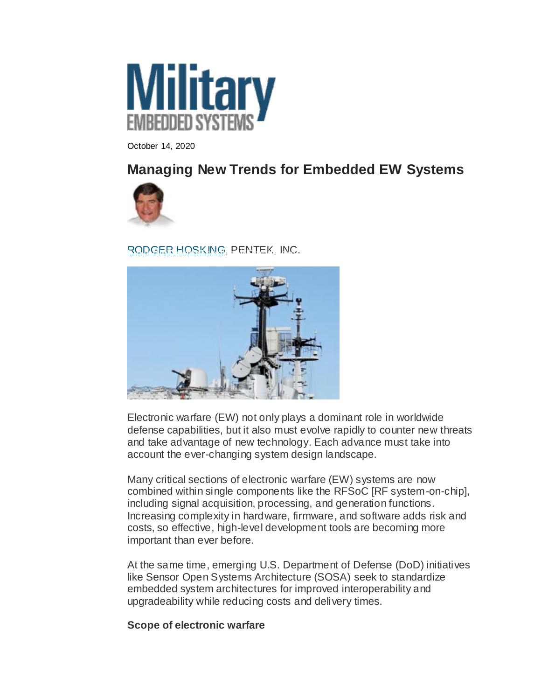

October 14, 2020

# **Managing New Trends for Embedded EW Systems**



[RODGER HOSKING,](https://militaryembedded.com/authors/rodger-hosking) PENTEK, INC.



Electronic warfare (EW) not only plays a dominant role in worldwide defense capabilities, but it also must evolve rapidly to counter new threats and take advantage of new technology. Each advance must take into account the ever-changing system design landscape.

Many critical sections of electronic warfare (EW) systems are now combined within single components like the RFSoC [RF system-on-chip], including signal acquisition, processing, and generation functions. Increasing complexity in hardware, firmware, and software adds risk and costs, so effective, high-level development tools are becoming more important than ever before.

At the same time, emerging U.S. Department of Defense (DoD) initiatives like Sensor Open Systems Architecture (SOSA) seek to standardize embedded system architectures for improved interoperability and upgradeability while reducing costs and delivery times.

## **Scope of electronic warfare**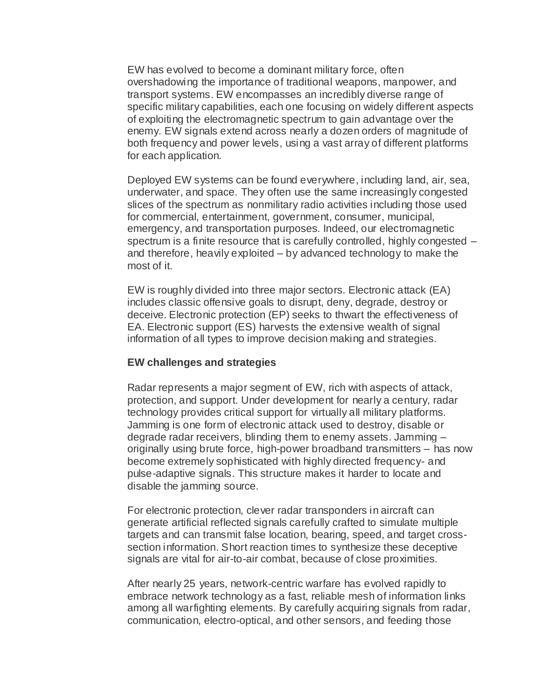EW has evolved to become a dominant military force, often overshadowing the importance of traditional weapons, manpower, and transport systems. EW encompasses an incredibly diverse range of specific military capabilities, each one focusing on widely different aspects of exploiting the electromagnetic spectrum to gain advantage over the enemy. EW signals extend across nearly a dozen orders of magnitude of both frequency and power levels, using a vast array of different platforms for each application.

Deployed EW systems can be found everywhere, including land, air, sea, underwater, and space. They often use the same increasingly congested slices of the spectrum as nonmilitary radio activities including those used for commercial, entertainment, government, consumer, municipal, emergency, and transportation purposes. Indeed, our electromagnetic spectrum is a finite resource that is carefully controlled, highly congested – and therefore, heavily exploited – by advanced technology to make the most of it.

EW is roughly divided into three major sectors. Electronic attack (EA) includes classic offensive goals to disrupt, deny, degrade, destroy or deceive. Electronic protection (EP) seeks to thwart the effectiveness of EA. Electronic support (ES) harvests the extensive wealth of signal information of all types to improve decision making and strategies.

### **EW challenges and strategies**

Radar represents a major segment of EW, rich with aspects of attack, protection, and support. Under development for nearly a century, radar technology provides critical support for virtually all military platforms. Jamming is one form of electronic attack used to destroy, disable or degrade radar receivers, blinding them to enemy assets. Jamming – originally using brute force, high-power broadband transmitters – has now become extremely sophisticated with highly directed frequency- and pulse-adaptive signals. This structure makes it harder to locate and disable the jamming source.

For electronic protection, clever radar transponders in aircraft can generate artificial reflected signals carefully crafted to simulate multiple targets and can transmit false location, bearing, speed, and target crosssection information. Short reaction times to synthesize these deceptive signals are vital for air-to-air combat, because of close proximities.

After nearly 25 years, network-centric warfare has evolved rapidly to embrace network technology as a fast, reliable mesh of information links among all warfighting elements. By carefully acquiring signals from radar, communication, electro-optical, and other sensors, and feeding those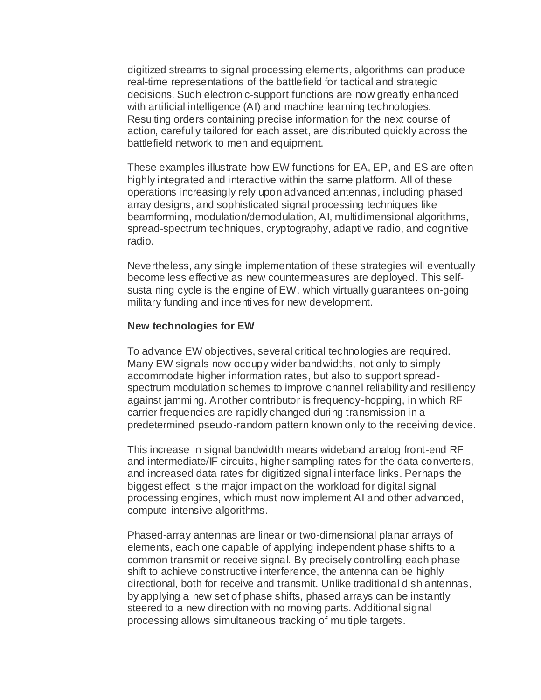digitized streams to signal processing elements, algorithms can produce real-time representations of the battlefield for tactical and strategic decisions. Such electronic-support functions are now greatly enhanced with artificial intelligence (AI) and machine learning technologies. Resulting orders containing precise information for the next course of action, carefully tailored for each asset, are distributed quickly across the battlefield network to men and equipment.

These examples illustrate how EW functions for EA, EP, and ES are often highly integrated and interactive within the same platform. All of these operations increasingly rely upon advanced antennas, including phased array designs, and sophisticated signal processing techniques like beamforming, modulation/demodulation, AI, multidimensional algorithms, spread-spectrum techniques, cryptography, adaptive radio, and cognitive radio.

Nevertheless, any single implementation of these strategies will eventually become less effective as new countermeasures are deployed. This selfsustaining cycle is the engine of EW, which virtually guarantees on-going military funding and incentives for new development.

### **New technologies for EW**

To advance EW objectives, several critical technologies are required. Many EW signals now occupy wider bandwidths, not only to simply accommodate higher information rates, but also to support spreadspectrum modulation schemes to improve channel reliability and resiliency against jamming. Another contributor is frequency-hopping, in which RF carrier frequencies are rapidly changed during transmission in a predetermined pseudo-random pattern known only to the receiving device.

This increase in signal bandwidth means wideband analog front-end RF and intermediate/IF circuits, higher sampling rates for the data converters, and increased data rates for digitized signal interface links. Perhaps the biggest effect is the major impact on the workload for digital signal processing engines, which must now implement AI and other advanced, compute-intensive algorithms.

Phased-array antennas are linear or two-dimensional planar arrays of elements, each one capable of applying independent phase shifts to a common transmit or receive signal. By precisely controlling each phase shift to achieve constructive interference, the antenna can be highly directional, both for receive and transmit. Unlike traditional dish antennas, by applying a new set of phase shifts, phased arrays can be instantly steered to a new direction with no moving parts. Additional signal processing allows simultaneous tracking of multiple targets.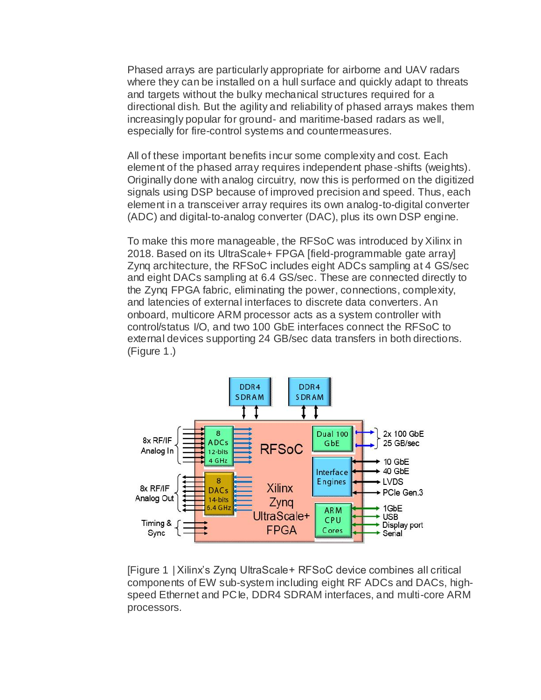Phased arrays are particularly appropriate for airborne and UAV radars where they can be installed on a hull surface and quickly adapt to threats and targets without the bulky mechanical structures required for a directional dish. But the agility and reliability of phased arrays makes them increasingly popular for ground- and maritime-based radars as well, especially for fire-control systems and countermeasures.

All of these important benefits incur some complexity and cost. Each element of the phased array requires independent phase-shifts (weights). Originally done with analog circuitry, now this is performed on the digitized signals using DSP because of improved precision and speed. Thus, each element in a transceiver array requires its own analog-to-digital converter (ADC) and digital-to-analog converter (DAC), plus its own DSP engine.

To make this more manageable, the RFSoC was introduced by Xilinx in 2018. Based on its UltraScale+ FPGA [field-programmable gate array] Zynq architecture, the RFSoC includes eight ADCs sampling at 4 GS/sec and eight DACs sampling at 6.4 GS/sec. These are connected directly to the Zynq FPGA fabric, eliminating the power, connections, complexity, and latencies of external interfaces to discrete data converters. An onboard, multicore ARM processor acts as a system controller with control/status I/O, and two 100 GbE interfaces connect the RFSoC to external devices supporting 24 GB/sec data transfers in both directions. (Figure 1.)



[Figure 1 | Xilinx's Zynq UltraScale+ RFSoC device combines all critical components of EW sub-system including eight RF ADCs and DACs, highspeed Ethernet and PCIe, DDR4 SDRAM interfaces, and multi-core ARM processors.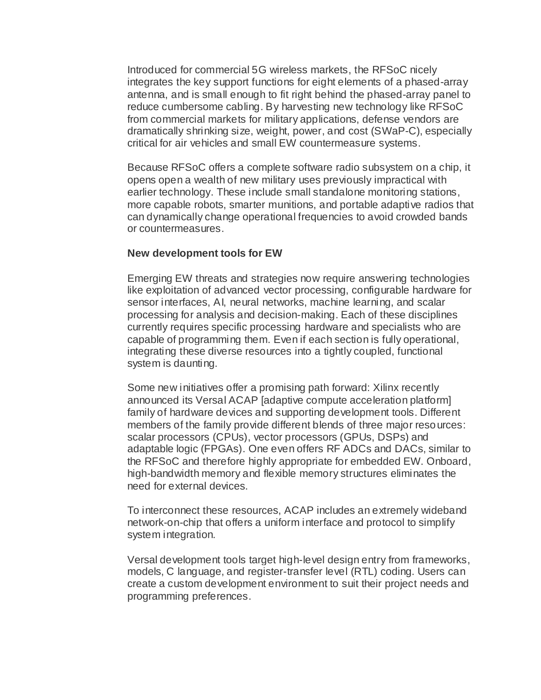Introduced for commercial 5G wireless markets, the RFSoC nicely integrates the key support functions for eight elements of a phased-array antenna, and is small enough to fit right behind the phased-array panel to reduce cumbersome cabling. By harvesting new technology like RFSoC from commercial markets for military applications, defense vendors are dramatically shrinking size, weight, power, and cost (SWaP-C), especially critical for air vehicles and small EW countermeasure systems.

Because RFSoC offers a complete software radio subsystem on a chip, it opens open a wealth of new military uses previously impractical with earlier technology. These include small standalone monitoring stations, more capable robots, smarter munitions, and portable adaptive radios that can dynamically change operational frequencies to avoid crowded bands or countermeasures.

#### **New development tools for EW**

Emerging EW threats and strategies now require answering technologies like exploitation of advanced vector processing, configurable hardware for sensor interfaces, AI, neural networks, machine learning, and scalar processing for analysis and decision-making. Each of these disciplines currently requires specific processing hardware and specialists who are capable of programming them. Even if each section is fully operational, integrating these diverse resources into a tightly coupled, functional system is daunting.

Some new initiatives offer a promising path forward: Xilinx recently announced its Versal ACAP [adaptive compute acceleration platform] family of hardware devices and supporting development tools. Different members of the family provide different blends of three major resources: scalar processors (CPUs), vector processors (GPUs, DSPs) and adaptable logic (FPGAs). One even offers RF ADCs and DACs, similar to the RFSoC and therefore highly appropriate for embedded EW. Onboard, high-bandwidth memory and flexible memory structures eliminates the need for external devices.

To interconnect these resources, ACAP includes an extremely wideband network-on-chip that offers a uniform interface and protocol to simplify system integration.

Versal development tools target high-level design entry from frameworks, models, C language, and register-transfer level (RTL) coding. Users can create a custom development environment to suit their project needs and programming preferences.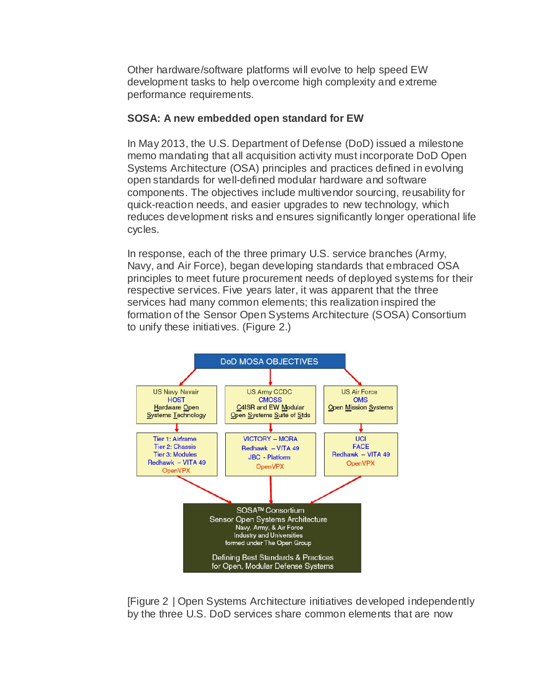Other hardware/software platforms will evolve to help speed EW development tasks to help overcome high complexity and extreme performance requirements.

## **SOSA: A new embedded open standard for EW**

In May 2013, the U.S. Department of Defense (DoD) issued a milestone memo mandating that all acquisition activity must incorporate DoD Open Systems Architecture (OSA) principles and practices defined in evolving open standards for well-defined modular hardware and software components. The objectives include multivendor sourcing, reusability for quick-reaction needs, and easier upgrades to new technology, which reduces development risks and ensures significantly longer operational life cycles.

In response, each of the three primary U.S. service branches (Army, Navy, and Air Force), began developing standards that embraced OSA principles to meet future procurement needs of deployed systems for their respective services. Five years later, it was apparent that the three services had many common elements; this realization inspired the formation of the Sensor Open Systems Architecture (SOSA) Consortium to unify these initiatives. (Figure 2.)



[Figure 2 | Open Systems Architecture initiatives developed independently by the three U.S. DoD services share common elements that are now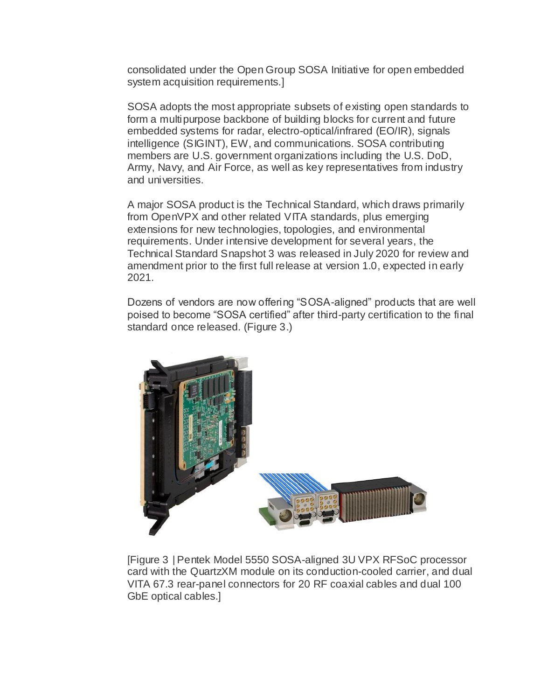consolidated under the Open Group SOSA Initiative for open embedded system acquisition requirements.]

SOSA adopts the most appropriate subsets of existing open standards to form a multipurpose backbone of building blocks for current and future embedded systems for radar, electro-optical/infrared (EO/IR), signals intelligence (SIGINT), EW, and communications. SOSA contributing members are U.S. government organizations including the U.S. DoD, Army, Navy, and Air Force, as well as key representatives from industry and universities.

A major SOSA product is the Technical Standard, which draws primarily from OpenVPX and other related VITA standards, plus emerging extensions for new technologies, topologies, and environmental requirements. Under intensive development for several years, the Technical Standard Snapshot 3 was released in July 2020 for review and amendment prior to the first full release at version 1.0, expected in early 2021.

Dozens of vendors are now offering "SOSA-aligned" products that are well poised to become "SOSA certified" after third-party certification to the final standard once released. (Figure 3.)



[Figure 3 | Pentek Model 5550 SOSA-aligned 3U VPX RFSoC processor card with the QuartzXM module on its conduction-cooled carrier, and dual VITA 67.3 rear-panel connectors for 20 RF coaxial cables and dual 100 GbE optical cables.]